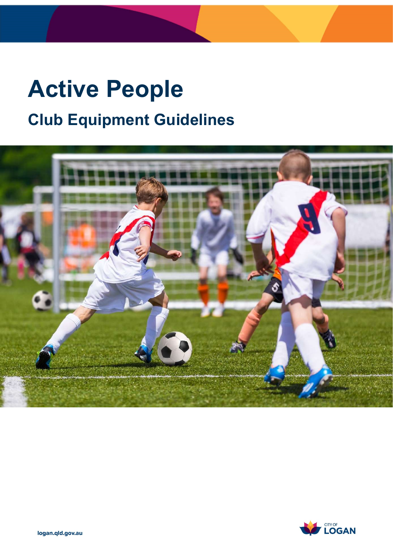# Active People Club Equipment Guidelines



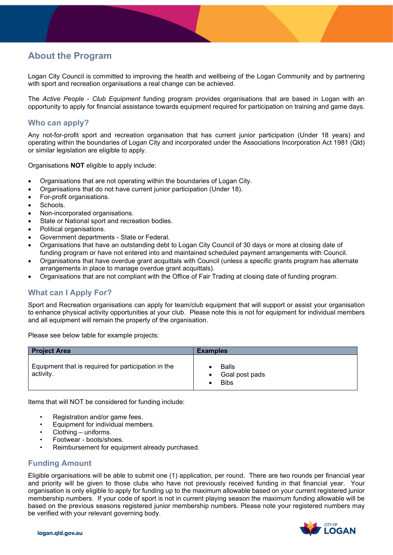# About the Program

 Logan City Council is committed to improving the health and wellbeing of the Logan Community and by partnering with sport and recreation organisations a real change can be achieved.

The *Active People - Club Equipment* funding program provides organisations that are based in Logan with an opportunity to apply for financial assistance towards equipment required for participation on training and game days.

# Who can apply?

 Any not-for-profit sport and recreation organisation that has current junior participation (Under 18 years) and operating within the boundaries of Logan City and incorporated under the Associations Incorporation Act 1981 (Qld) or similar legislation are eligible to apply.

Organisations **NOT** eligible to apply include:

- Organisations that are not operating within the boundaries of Logan City.
- Organisations that do not have current junior participation (Under 18).
- For-profit organisations.
- Schools.
- Non-incorporated organisations.
- State or National sport and recreation bodies.
- Political organisations.
- Government departments State or Federal.
- Organisations that have an outstanding debt to Logan City Council of 30 days or more at closing date of funding program or have not entered into and maintained scheduled payment arrangements with Council.
- Organisations that have overdue grant acquittals with Council (unless a specific grants program has alternate arrangements in place to manage overdue grant acquittals).
- Organisations that are not compliant with the Office of Fair Trading at closing date of funding program.

# What can I Apply For?

 Sport and Recreation organisations can apply for team/club equipment that will support or assist your organisation to enhance physical activity opportunities at your club. Please note this is not for equipment for individual members and all equipment will remain the property of the organisation.

Please see below table for example projects:

| <b>Project Area</b>                                              | <b>Examples</b>                               |
|------------------------------------------------------------------|-----------------------------------------------|
| Equipment that is required for participation in the<br>activity. | <b>Balls</b><br>Goal post pads<br><b>Bibs</b> |

Items that will NOT be considered for funding include:

- Registration and/or game fees.
- Equipment for individual members.
- Clothing uniforms.
- Footwear boots/shoes.
- Reimbursement for equipment already purchased.

#### Funding Amount

 Eligible organisations will be able to submit one (1) application, per round. There are two rounds per financial year and priority will be given to those clubs who have not previously received funding in that financial year. Your organisation is only eligible to apply for funding up to the maximum allowable based on your current registered junior membership numbers. If your code of sport is not in current playing season the maximum funding allowable will be based on the previous seasons registered junior membership numbers. Please note your registered numbers may be verified with your relevant governing body.

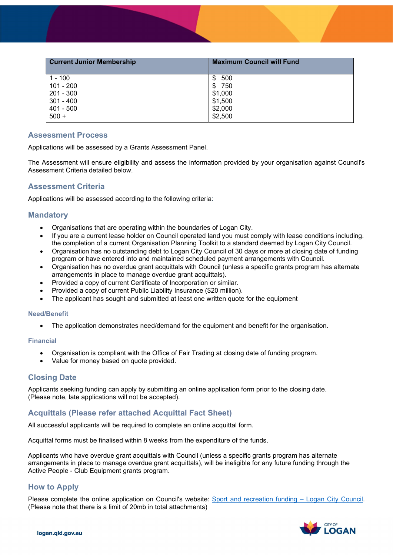| <b>Current Junior Membership</b> | <b>Maximum Council will Fund</b> |
|----------------------------------|----------------------------------|
| 1 - 100                          | 500<br>\$.                       |
| 101 - 200                        | 750<br>S                         |
| $201 - 300$                      | \$1,000                          |
| $301 - 400$                      | \$1,500                          |
| $401 - 500$                      | \$2,000                          |
| $500 +$                          | \$2,500                          |

#### Assessment Process

Applications will be assessed by a Grants Assessment Panel.

 The Assessment will ensure eligibility and assess the information provided by your organisation against Council's Assessment Criteria detailed below.

### Assessment Criteria

Applications will be assessed according to the following criteria:

#### **Mandatory**

- Organisations that are operating within the boundaries of Logan City.
- the completion of a current Organisation Planning Toolkit to a standard deemed by Logan City Council. If you are a current lease holder on Council operated land you must comply with lease conditions including.
- Organisation has no outstanding debt to Logan City Council of 30 days or more at closing date of funding program or have entered into and maintained scheduled payment arrangements with Council.
- Organisation has no overdue grant acquittals with Council (unless a specific grants program has alternate arrangements in place to manage overdue grant acquittals).
- Provided a copy of current Certificate of Incorporation or similar.
- Provided a copy of current Public Liability Insurance (\$20 million).
- The applicant has sought and submitted at least one written quote for the equipment

#### Need/Benefit

The application demonstrates need/demand for the equipment and benefit for the organisation.

#### Financial

- Organisation is compliant with the Office of Fair Trading at closing date of funding program.
- Value for money based on quote provided.

## Closing Date

 Applicants seeking funding can apply by submitting an online application form prior to the closing date. (Please note, late applications will not be accepted).

## Acquittals (Please refer attached Acquittal Fact Sheet)

All successful applicants will be required to complete an online acquittal form.

Acquittal forms must be finalised within 8 weeks from the expenditure of the funds.

 Applicants who have overdue grant acquittals with Council (unless a specific grants program has alternate arrangements in place to manage overdue grant acquittals), will be ineligible for any future funding through the Active People - Club Equipment grants program.

## How to Apply

Please complete the online application on Council's website: Sport and recreation funding – Logan City Council. (Please note that there is a limit of 20mb in total attachments)

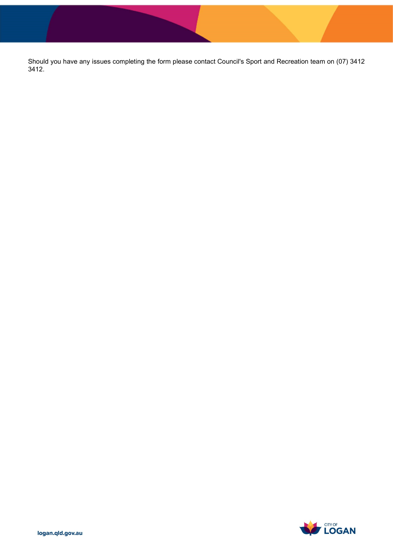Should you have any issues completing the form please contact Council's Sport and Recreation team on (07) 3412 3412.

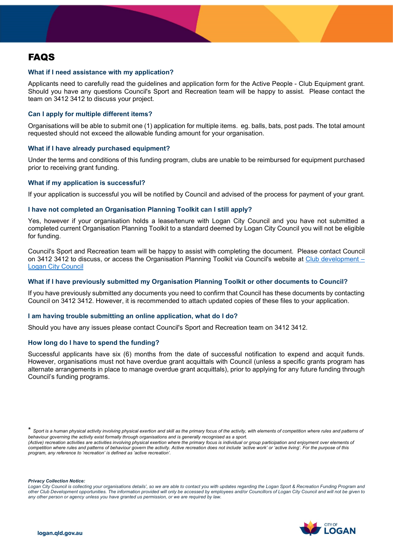# **FAQS**

#### What if I need assistance with my application?

 Applicants need to carefully read the guidelines and application form for the Active People - Club Equipment grant. Should you have any questions Council's Sport and Recreation team will be happy to assist. Please contact the team on 3412 3412 to discuss your project.

#### Can I apply for multiple different items?

 Organisations will be able to submit one (1) application for multiple items. eg. balls, bats, post pads. The total amount requested should not exceed the allowable funding amount for your organisation.

#### What if I have already purchased equipment?

 Under the terms and conditions of this funding program, clubs are unable to be reimbursed for equipment purchased prior to receiving grant funding.

#### What if my application is successful?

If your application is successful you will be notified by Council and advised of the process for payment of your grant.

#### I have not completed an Organisation Planning Toolkit can I still apply?

 Yes, however if your organisation holds a lease/tenure with Logan City Council and you have not submitted a completed current Organisation Planning Toolkit to a standard deemed by Logan City Council you will not be eligible for funding.

 Council's Sport and Recreation team will be happy to assist with completing the document. Please contact Council on 3412 3412 to discuss, or access the Organisation Planning Toolkit via Council's website at <u>Club development</u> – **Logan City Council** 

#### What if I have previously submitted my Organisation Planning Toolkit or other documents to Council?

 If you have previously submitted any documents you need to confirm that Council has these documents by contacting Council on 3412 3412. However, it is recommended to attach updated copies of these files to your application.

#### I am having trouble submitting an online application, what do I do?

Should you have any issues please contact Council's Sport and Recreation team on 3412 3412.

#### How long do I have to spend the funding?

 Successful applicants have six (6) months from the date of successful notification to expend and acquit funds. However, organisations must not have overdue grant acquittals with Council (unless a specific grants program has alternate arrangements in place to manage overdue grant acquittals), prior to applying for any future funding through Council's funding programs.

(Active) recreation activities are activities involving physical exertion where the primary focus is individual or group participation and enjoyment over elements oi competition where rules and patterns of behaviour govern the activity. Active recreation does not include 'active work' or 'active living'. For the purpose of this program, any reference to 'recreation' is defined as 'active recreation'.

Privacy Collection Notice:

 Logan City Council is collecting your organisations details', so we are able to contact you with updates regarding the Logan Sport & Recreation Funding Program and other Club Development opportunities. The information provided will only be accessed by employees and/or Councillors of Logan City Council and will not be given to any other person or agency unless you have granted us permission, or we are required by law.



<sup>\*</sup> Sport is a human physical activity involving physical exertion and skill as the primary focus of the activity, with elements of competition where rules and patterns oi behaviour governing the activity exist formally through organisations and is generally recognised as a sport.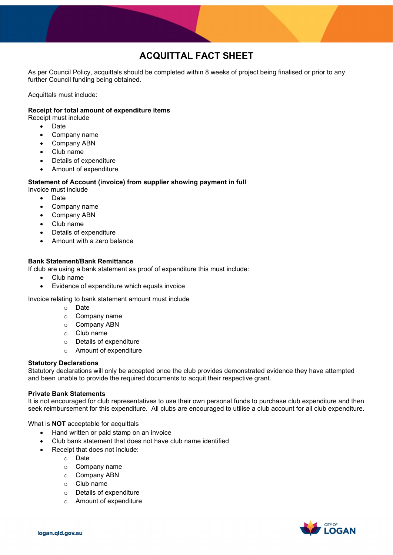# ACQUITTAL FACT SHEET

 As per Council Policy, acquittals should be completed within 8 weeks of project being finalised or prior to any further Council funding being obtained.

Acquittals must include:

#### Receipt for total amount of expenditure items

Receipt must include

- $\bullet$ Date
- Company name
- Company ABN
- Club name
- Details of expenditure
- Amount of expenditure

#### Statement of Account (invoice) from supplier showing payment in full

Invoice must include

- Date
- Company name
- Company ABN
- Club name
- Details of expenditure
- Amount with a zero balance

#### Bank Statement/Bank Remittance

If club are using a bank statement as proof of expenditure this must include:

- Club name
- Evidence of expenditure which equals invoice

Invoice relating to bank statement amount must include

- o Date
- o Company name
- o Company ABN
- o Club name
- o Details of expenditure
- o Amount of expenditure

#### Statutory Declarations

 Statutory declarations will only be accepted once the club provides demonstrated evidence they have attempted and been unable to provide the required documents to acquit their respective grant.

#### Private Bank Statements

 It is not encouraged for club representatives to use their own personal funds to purchase club expenditure and then seek reimbursement for this expenditure. All clubs are encouraged to utilise a club account for all club expenditure.

What is **NOT** acceptable for acquittals

- Hand written or paid stamp on an invoice
- Club bank statement that does not have club name identified
- Receipt that does not include:
	- o Date
	- o Company name
	- o Company ABN
	- o Club name
	- o Details of expenditure
	- o Amount of expenditure